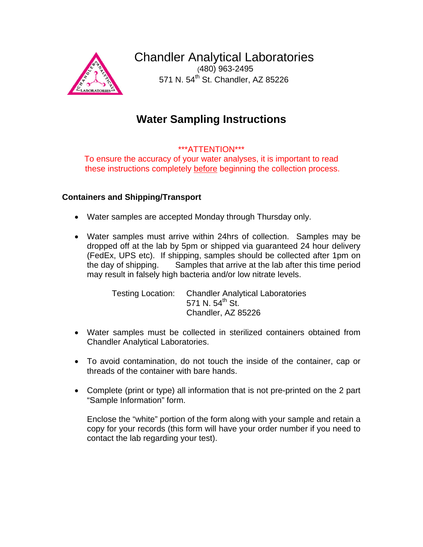

Chandler Analytical Laboratories (480) 963-2495

571 N. 54<sup>th</sup> St. Chandler, AZ 85226

# **Water Sampling Instructions**

## \*\*\*ATTENTION\*\*\*

To ensure the accuracy of your water analyses, it is important to read these instructions completely before beginning the collection process.

### **Containers and Shipping/Transport**

- Water samples are accepted Monday through Thursday only.
- Water samples must arrive within 24hrs of collection. Samples may be dropped off at the lab by 5pm or shipped via guaranteed 24 hour delivery (FedEx, UPS etc). If shipping, samples should be collected after 1pm on the day of shipping. Samples that arrive at the lab after this time period may result in falsely high bacteria and/or low nitrate levels.

 Testing Location: Chandler Analytical Laboratories 571 N.  $54^{\text{th}}$  St. Chandler, AZ 85226

- Water samples must be collected in sterilized containers obtained from Chandler Analytical Laboratories.
- To avoid contamination, do not touch the inside of the container, cap or threads of the container with bare hands.
- Complete (print or type) all information that is not pre-printed on the 2 part "Sample Information" form.

Enclose the "white" portion of the form along with your sample and retain a copy for your records (this form will have your order number if you need to contact the lab regarding your test).